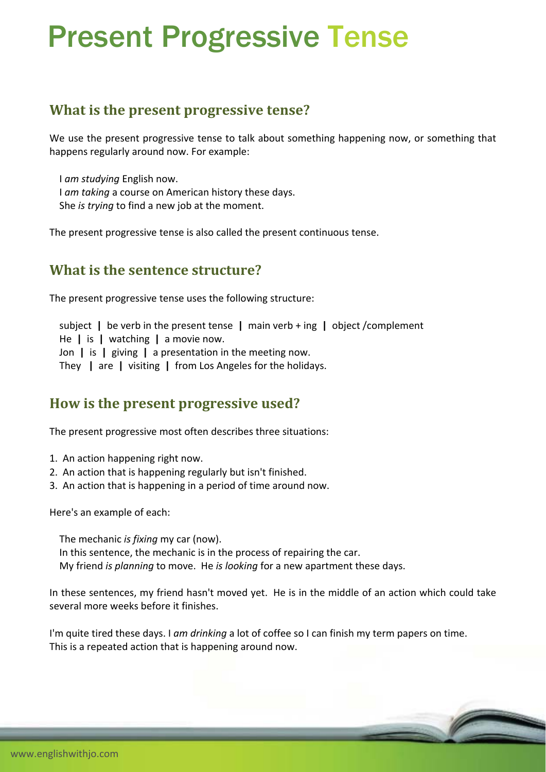# Present Progressive Tense

### **What is the present progressive tense?**

We use the present progressive tense to talk about something happening now, or something that happens regularly around now. For example:

 I *am studying* English now. I *am taking* a course on American history these days. She *is trying* to find a new job at the moment.

The present progressive tense is also called the present continuous tense.

#### **What is the sentence structure?**

The present progressive tense uses the following structure:

subject **|** be verb in the present tense **|** main verb + ing **|** object /complement

He **|** is **|** watching **|** a movie now.

Jon **|** is **|** giving **|** a presentation in the meeting now.

They **|** are **|** visiting **|** from Los Angeles for the holidays.

#### **How is the present progressive used?**

The present progressive most often describes three situations:

- 1. An action happening right now.
- 2. An action that is happening regularly but isn't finished.
- 3. An action that is happening in a period of time around now.

Here's an example of each:

 The mechanic *is fixing* my car (now). In this sentence, the mechanic is in the process of repairing the car. My friend *is planning* to move. He *is looking* for a new apartment these days.

In these sentences, my friend hasn't moved yet. He is in the middle of an action which could take several more weeks before it finishes.

I'm quite tired these days. I *am drinking* a lot of coffee so I can finish my term papers on time. This is a repeated action that is happening around now.